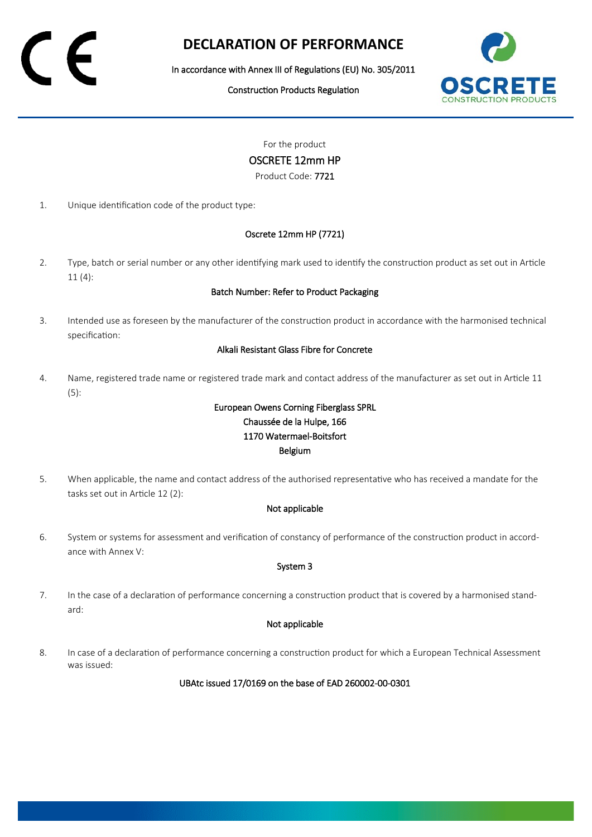# **DECLARATION OF PERFORMANCE**

In accordance with Annex III of Regulations (EU) No. 305/2011

Construction Products Regulation



For the product

OSCRETE 12mm HP

Product Code: 7721

1. Unique identification code of the product type:

### Oscrete 12mm HP (7721)

2. Type, batch or serial number or any other identifying mark used to identify the construction product as set out in Article 11 (4):

### Batch Number: Refer to Product Packaging

3. Intended use as foreseen by the manufacturer of the construction product in accordance with the harmonised technical specification:

### Alkali Resistant Glass Fibre for Concrete

4. Name, registered trade name or registered trade mark and contact address of the manufacturer as set out in Article 11 (5):

## European Owens Corning Fiberglass SPRL Chaussée de la Hulpe, 166 1170 Watermael-Boitsfort Belgium

5. When applicable, the name and contact address of the authorised representative who has received a mandate for the tasks set out in Article 12 (2):

### Not applicable

6. System or systems for assessment and verification of constancy of performance of the construction product in accordance with Annex V:

### System 3

7. In the case of a declaration of performance concerning a construction product that is covered by a harmonised standard:

### Not applicable

8. In case of a declaration of performance concerning a construction product for which a European Technical Assessment was issued:

UBAtc issued 17/0169 on the base of EAD 260002-00-0301